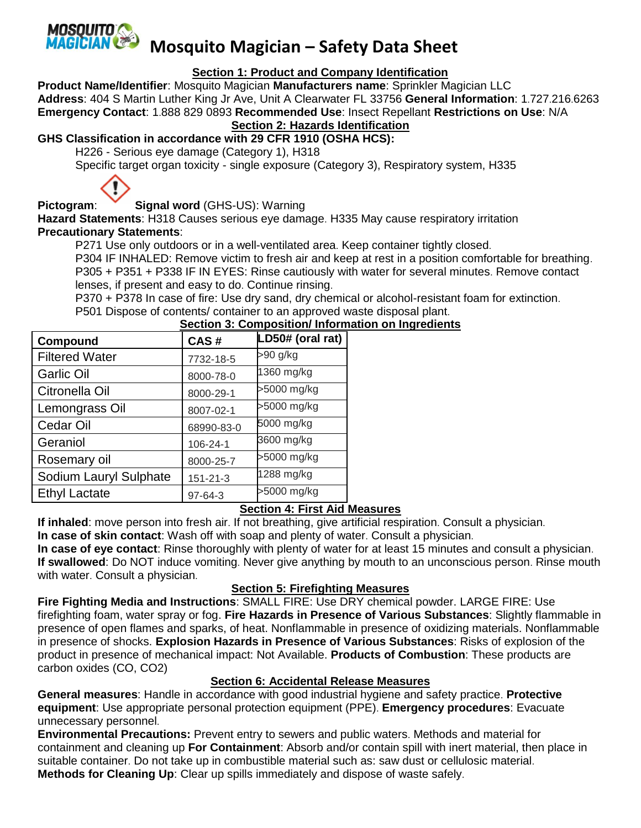

## **Mosquito Magician – Safety Data Sheet**

#### **Section 1: Product and Company Identification**

**Product Name/Identifier**: Mosquito Magician **Manufacturers name**: Sprinkler Magician LLC **Address**: 404 S Martin Luther King Jr Ave, Unit A Clearwater FL 33756 **General Information**: 1.727.216.6263 **Emergency Contact**: 1.888 829 0893 **Recommended Use**: Insect Repellant **Restrictions on Use**: N/A

#### **Section 2: Hazards Identification**

#### **GHS Classification in accordance with 29 CFR 1910 (OSHA HCS):**

H226 - Serious eye damage (Category 1), H318

Specific target organ toxicity - single exposure (Category 3), Respiratory system, H335



## **Pictogram**: **Signal word** (GHS-US): Warning

**Hazard Statements**: H318 Causes serious eye damage. H335 May cause respiratory irritation **Precautionary Statements**:

P271 Use only outdoors or in a well-ventilated area. Keep container tightly closed.

P304 IF INHALED: Remove victim to fresh air and keep at rest in a position comfortable for breathing. P305 + P351 + P338 IF IN EYES: Rinse cautiously with water for several minutes. Remove contact lenses, if present and easy to do. Continue rinsing.

P370 + P378 In case of fire: Use dry sand, dry chemical or alcohol-resistant foam for extinction. P501 Dispose of contents/ container to an approved waste disposal plant.

| Compound               | CAS#           | LD50# (oral rat) |
|------------------------|----------------|------------------|
| <b>Filtered Water</b>  | 7732-18-5      | >90 g/kg         |
| <b>Garlic Oil</b>      | 8000-78-0      | 1360 mg/kg       |
| Citronella Oil         | 8000-29-1      | >5000 mg/kg      |
| Lemongrass Oil         | 8007-02-1      | >5000 mg/kg      |
| Cedar Oil              | 68990-83-0     | 5000 mg/kg       |
| Geraniol               | 106-24-1       | 3600 mg/kg       |
| Rosemary oil           | 8000-25-7      | >5000 mg/kg      |
| Sodium Lauryl Sulphate | $151 - 21 - 3$ | 1288 mg/kg       |
| <b>Ethyl Lactate</b>   | $97 - 64 - 3$  | >5000 mg/kg      |

### **Section 3: Composition/ Information on Ingredients**

#### **Section 4: First Aid Measures**

**If inhaled**: move person into fresh air. If not breathing, give artificial respiration. Consult a physician.

**In case of skin contact**: Wash off with soap and plenty of water. Consult a physician.

**In case of eye contact**: Rinse thoroughly with plenty of water for at least 15 minutes and consult a physician. **If swallowed**: Do NOT induce vomiting. Never give anything by mouth to an unconscious person. Rinse mouth with water. Consult a physician.

#### **Section 5: Firefighting Measures**

**Fire Fighting Media and Instructions**: SMALL FIRE: Use DRY chemical powder. LARGE FIRE: Use firefighting foam, water spray or fog. **Fire Hazards in Presence of Various Substances**: Slightly flammable in presence of open flames and sparks, of heat. Nonflammable in presence of oxidizing materials. Nonflammable in presence of shocks. **Explosion Hazards in Presence of Various Substances**: Risks of explosion of the product in presence of mechanical impact: Not Available. **Products of Combustion**: These products are carbon oxides (CO, CO2)

#### **Section 6: Accidental Release Measures**

**General measures**: Handle in accordance with good industrial hygiene and safety practice. **Protective equipment**: Use appropriate personal protection equipment (PPE). **Emergency procedures**: Evacuate unnecessary personnel.

**Environmental Precautions:** Prevent entry to sewers and public waters. Methods and material for containment and cleaning up **For Containment**: Absorb and/or contain spill with inert material, then place in suitable container. Do not take up in combustible material such as: saw dust or cellulosic material. **Methods for Cleaning Up**: Clear up spills immediately and dispose of waste safely.